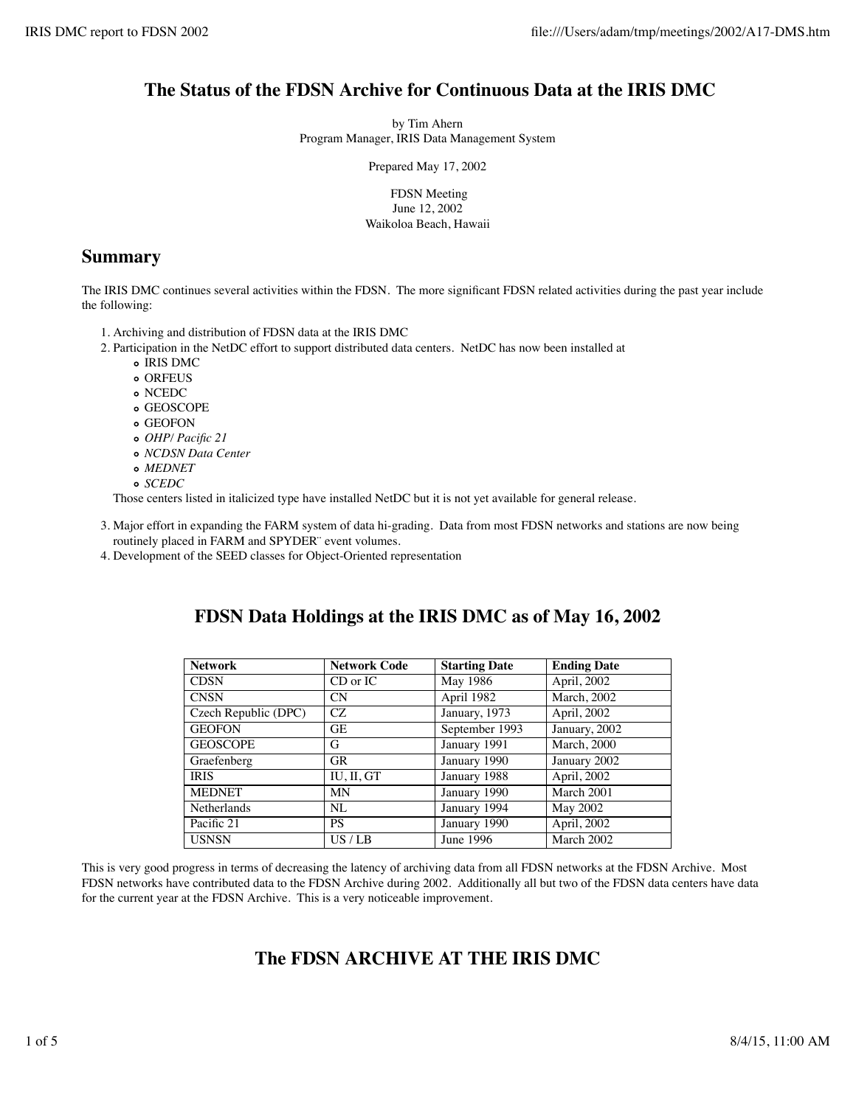## **The Status of the FDSN Archive for Continuous Data at the IRIS DMC**

by Tim Ahern Program Manager, IRIS Data Management System

Prepared May 17, 2002

 FDSN Meeting June 12, 2002 Waikoloa Beach, Hawaii

## **Summary**

The IRIS DMC continues several activities within the FDSN. The more significant FDSN related activities during the past year include the following:

- 1. Archiving and distribution of FDSN data at the IRIS DMC
- 2. Participation in the NetDC effort to support distributed data centers. NetDC has now been installed at
	- o IRIS DMC
	- o ORFEUS
	- NCEDC
	- GEOSCOPE
	- GEOFON
	- *OHP/ Pacific 21*
	- *NCDSN Data Center*
	- *MEDNET*
	- *SCEDC*

Those centers listed in italicized type have installed NetDC but it is not yet available for general release.

- Major effort in expanding the FARM system of data hi-grading. Data from most FDSN networks and stations are now being 3. routinely placed in FARM and SPYDER¨ event volumes.
- 4. Development of the SEED classes for Object-Oriented representation

| <b>Network</b>       | <b>Network Code</b> | <b>Starting Date</b> | <b>Ending Date</b>  |
|----------------------|---------------------|----------------------|---------------------|
| <b>CDSN</b>          | $CD$ or $IC$        | May 1986             | April, 2002         |
| <b>CNSN</b>          | <b>CN</b>           | April 1982           | <b>March</b> , 2002 |
| Czech Republic (DPC) | CZ                  | January, 1973        | April, 2002         |
| <b>GEOFON</b>        | <b>GE</b>           | September 1993       | January, 2002       |
| <b>GEOSCOPE</b>      | G                   | January 1991         | <b>March</b> , 2000 |
| Graefenberg          | <b>GR</b>           | January 1990         | January 2002        |
| <b>IRIS</b>          | IU, II, GT          | January 1988         | April, 2002         |
| <b>MEDNET</b>        | <b>MN</b>           | January 1990         | March 2001          |
| <b>Netherlands</b>   | NI.                 | January 1994         | May 2002            |
| Pacific 21           | <b>PS</b>           | January 1990         | April, 2002         |
| <b>USNSN</b>         | US/LB               | June 1996            | March 2002          |

# **FDSN Data Holdings at the IRIS DMC as of May 16, 2002**

This is very good progress in terms of decreasing the latency of archiving data from all FDSN networks at the FDSN Archive. Most FDSN networks have contributed data to the FDSN Archive during 2002. Additionally all but two of the FDSN data centers have data for the current year at the FDSN Archive. This is a very noticeable improvement.

# **The FDSN ARCHIVE AT THE IRIS DMC**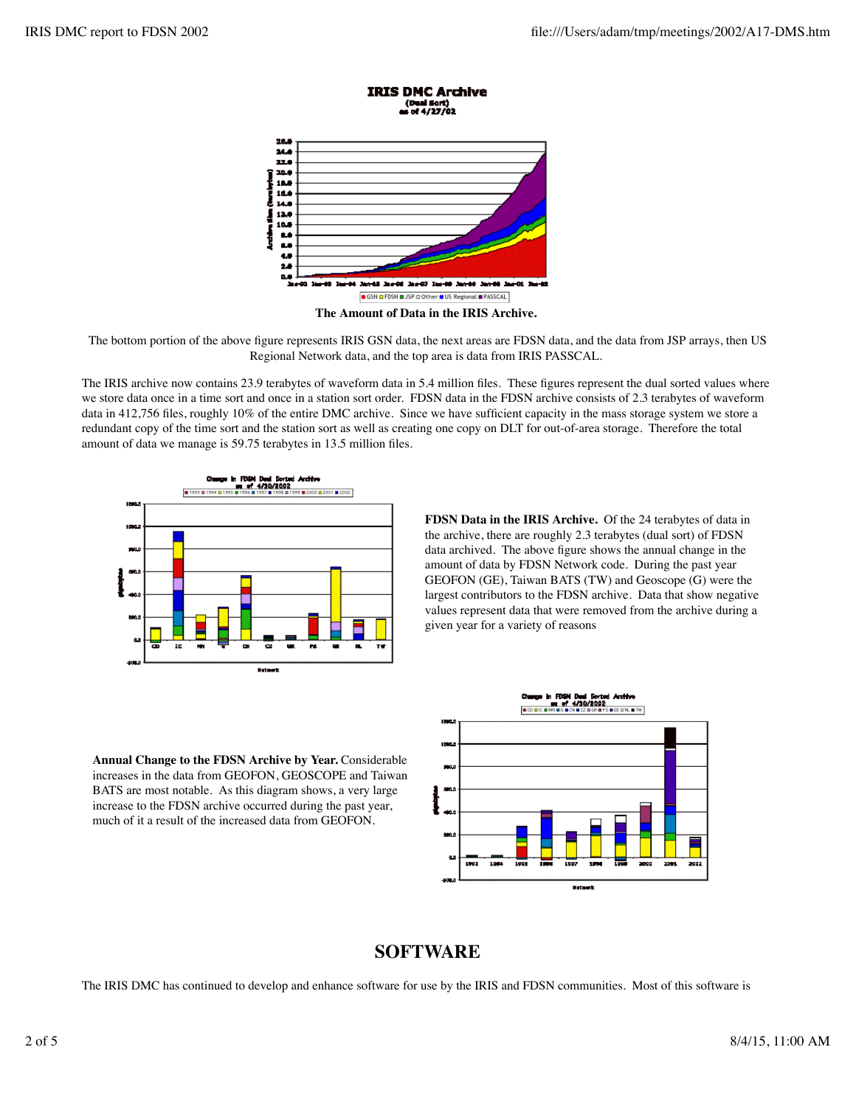

The bottom portion of the above figure represents IRIS GSN data, the next areas are FDSN data, and the data from JSP arrays, then US Regional Network data, and the top area is data from IRIS PASSCAL.

The IRIS archive now contains 23.9 terabytes of waveform data in 5.4 million files. These figures represent the dual sorted values where we store data once in a time sort and once in a station sort order. FDSN data in the FDSN archive consists of 2.3 terabytes of waveform data in 412,756 files, roughly 10% of the entire DMC archive. Since we have sufficient capacity in the mass storage system we store a redundant copy of the time sort and the station sort as well as creating one copy on DLT for out-of-area storage. Therefore the total amount of data we manage is 59.75 terabytes in 13.5 million files.



**FDSN Data in the IRIS Archive.** Of the 24 terabytes of data in the archive, there are roughly 2.3 terabytes (dual sort) of FDSN data archived. The above figure shows the annual change in the amount of data by FDSN Network code. During the past year GEOFON (GE), Taiwan BATS (TW) and Geoscope (G) were the largest contributors to the FDSN archive. Data that show negative values represent data that were removed from the archive during a given year for a variety of reasons





### **SOFTWARE**

The IRIS DMC has continued to develop and enhance software for use by the IRIS and FDSN communities. Most of this software is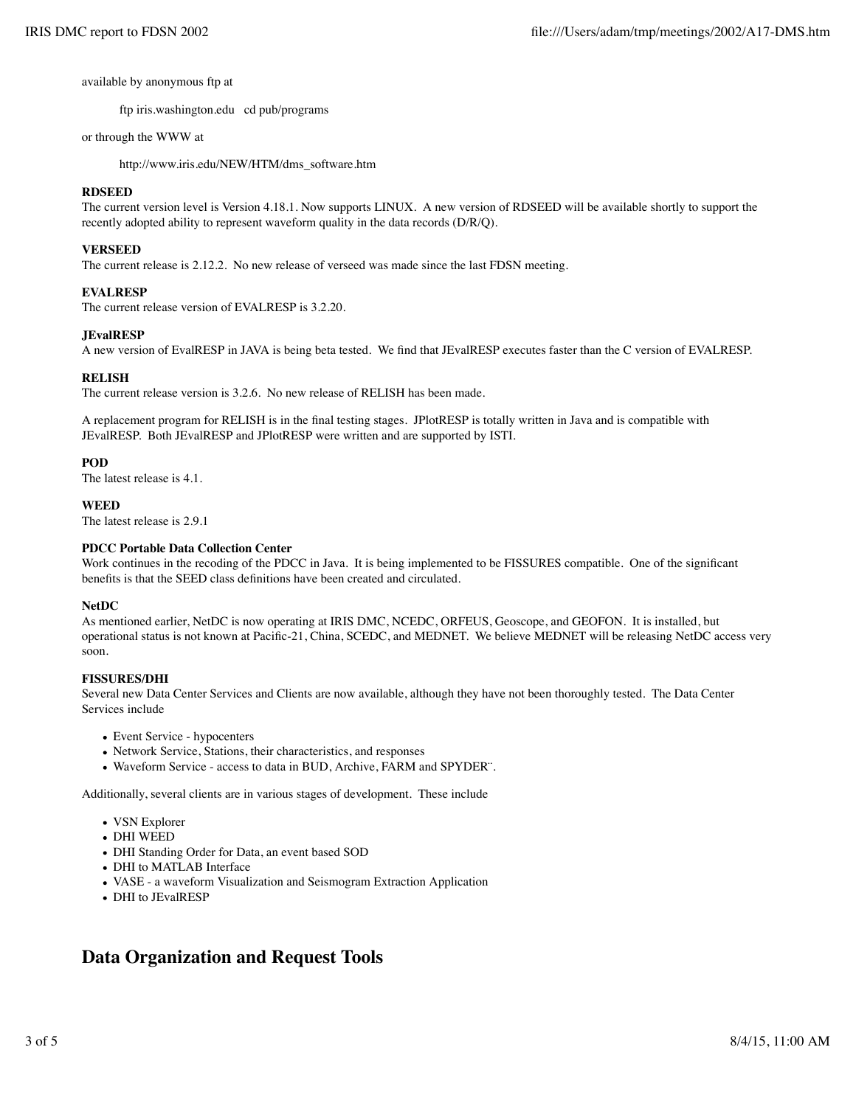available by anonymous ftp at

ftp iris.washington.edu cd pub/programs

#### or through the WWW at

http://www.iris.edu/NEW/HTM/dms\_software.htm

#### **RDSEED**

The current version level is Version 4.18.1. Now supports LINUX. A new version of RDSEED will be available shortly to support the recently adopted ability to represent waveform quality in the data records (D/R/Q).

#### **VERSEED**

The current release is 2.12.2. No new release of verseed was made since the last FDSN meeting.

#### **EVALRESP**

The current release version of EVALRESP is 3.2.20.

#### **JEvalRESP**

A new version of EvalRESP in JAVA is being beta tested. We find that JEvalRESP executes faster than the C version of EVALRESP.

#### **RELISH**

The current release version is 3.2.6. No new release of RELISH has been made.

A replacement program for RELISH is in the final testing stages. JPlotRESP is totally written in Java and is compatible with JEvalRESP. Both JEvalRESP and JPlotRESP were written and are supported by ISTI.

#### **POD**

The latest release is 4.1.

#### **WEED**

The latest release is 2.9.1

#### **PDCC Portable Data Collection Center**

Work continues in the recoding of the PDCC in Java. It is being implemented to be FISSURES compatible. One of the significant benefits is that the SEED class definitions have been created and circulated.

#### **NetDC**

As mentioned earlier, NetDC is now operating at IRIS DMC, NCEDC, ORFEUS, Geoscope, and GEOFON. It is installed, but operational status is not known at Pacific-21, China, SCEDC, and MEDNET. We believe MEDNET will be releasing NetDC access very soon.

#### **FISSURES/DHI**

Several new Data Center Services and Clients are now available, although they have not been thoroughly tested. The Data Center Services include

- Event Service hypocenters
- Network Service, Stations, their characteristics, and responses
- Waveform Service access to data in BUD, Archive, FARM and SPYDER¨.

Additionally, several clients are in various stages of development. These include

- VSN Explorer
- DHI WEED
- DHI Standing Order for Data, an event based SOD
- DHI to MATLAB Interface
- VASE a waveform Visualization and Seismogram Extraction Application
- DHI to JEvalRESP

### **Data Organization and Request Tools**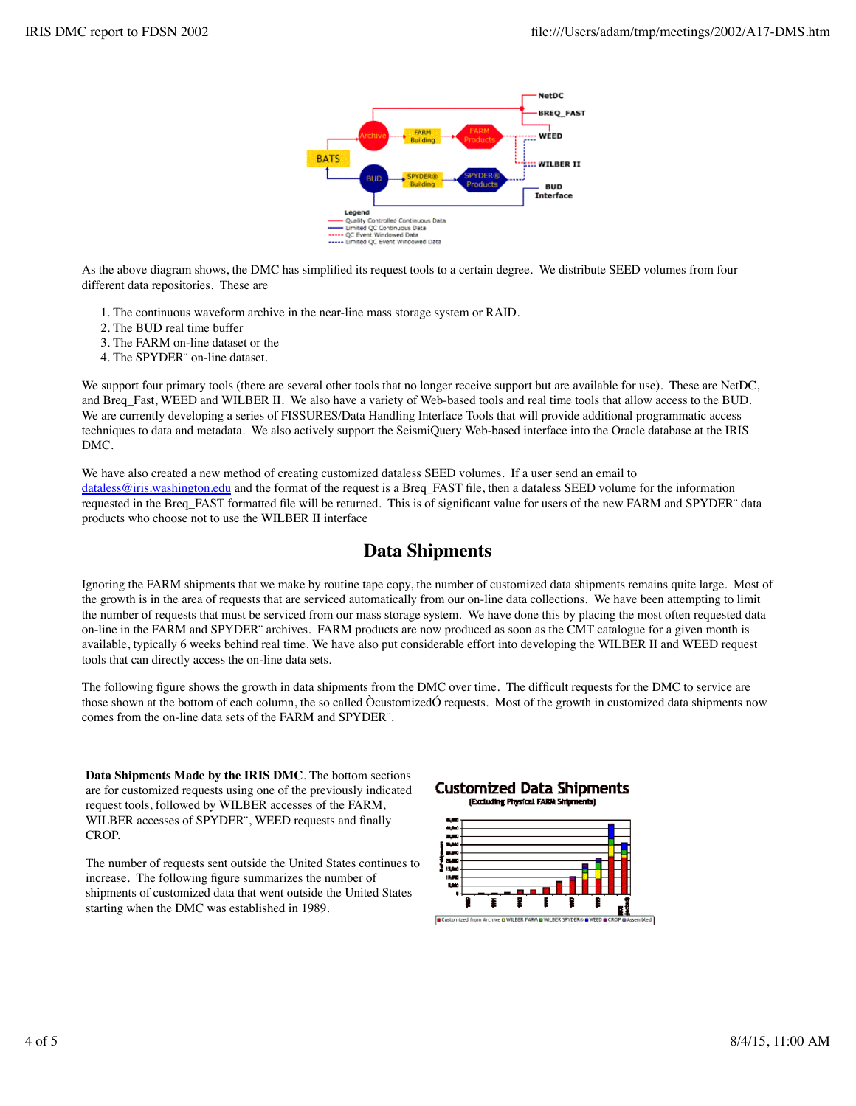

As the above diagram shows, the DMC has simplified its request tools to a certain degree. We distribute SEED volumes from four different data repositories. These are

- 1. The continuous waveform archive in the near-line mass storage system or RAID.
- 2. The BUD real time buffer
- 3. The FARM on-line dataset or the
- 4. The SPYDER¨ on-line dataset.

We support four primary tools (there are several other tools that no longer receive support but are available for use). These are NetDC, and Breq\_Fast, WEED and WILBER II. We also have a variety of Web-based tools and real time tools that allow access to the BUD. We are currently developing a series of FISSURES/Data Handling Interface Tools that will provide additional programmatic access techniques to data and metadata. We also actively support the SeismiQuery Web-based interface into the Oracle database at the IRIS DMC.

We have also created a new method of creating customized dataless SEED volumes. If a user send an email to dataless@iris.washington.edu and the format of the request is a Breq\_FAST file, then a dataless SEED volume for the information requested in the Breq\_FAST formatted file will be returned. This is of significant value for users of the new FARM and SPYDER¨ data products who choose not to use the WILBER II interface

### **Data Shipments**

Ignoring the FARM shipments that we make by routine tape copy, the number of customized data shipments remains quite large. Most of the growth is in the area of requests that are serviced automatically from our on-line data collections. We have been attempting to limit the number of requests that must be serviced from our mass storage system. We have done this by placing the most often requested data on-line in the FARM and SPYDER¨ archives. FARM products are now produced as soon as the CMT catalogue for a given month is available, typically 6 weeks behind real time. We have also put considerable effort into developing the WILBER II and WEED request tools that can directly access the on-line data sets.

The following figure shows the growth in data shipments from the DMC over time. The difficult requests for the DMC to service are those shown at the bottom of each column, the so called ÒcustomizedÓ requests. Most of the growth in customized data shipments now comes from the on-line data sets of the FARM and SPYDER¨.

**Data Shipments Made by the IRIS DMC**. The bottom sections are for customized requests using one of the previously indicated request tools, followed by WILBER accesses of the FARM, WILBER accesses of SPYDER¨, WEED requests and finally CROP.

The number of requests sent outside the United States continues to increase. The following figure summarizes the number of shipments of customized data that went outside the United States starting when the DMC was established in 1989.

#### **Customized Data Shipments** Excluding Physical FARM Shipments)